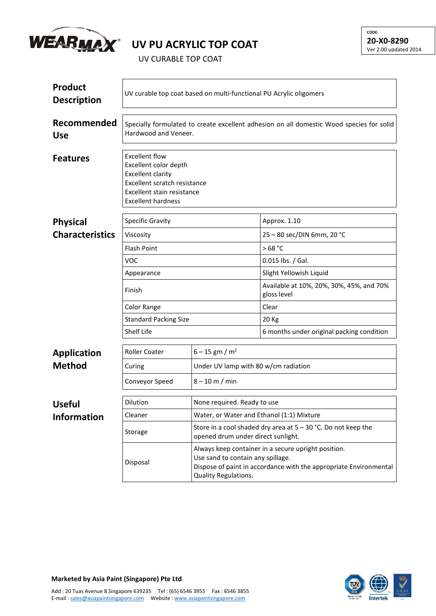

## **UV PU ACRYLIC TOP COAT**

UV CURABLE TOP COAT

| <b>Product</b><br><b>Description</b> | UV curable top coat based on multi-functional PU Acrylic oligomers                                                                                                    |                                                                                                                                                                                       |                                                         |  |  |
|--------------------------------------|-----------------------------------------------------------------------------------------------------------------------------------------------------------------------|---------------------------------------------------------------------------------------------------------------------------------------------------------------------------------------|---------------------------------------------------------|--|--|
| Recommended<br><b>Use</b>            | Specially formulated to create excellent adhesion on all domestic Wood species for solid<br>Hardwood and Veneer.                                                      |                                                                                                                                                                                       |                                                         |  |  |
| <b>Features</b>                      | <b>Excellent flow</b><br>Excellent color depth<br><b>Excellent clarity</b><br>Excellent scratch resistance<br>Excellent stain resistance<br><b>Excellent hardness</b> |                                                                                                                                                                                       |                                                         |  |  |
| <b>Physical</b>                      | <b>Specific Gravity</b>                                                                                                                                               |                                                                                                                                                                                       | Approx. 1.10                                            |  |  |
| <b>Characteristics</b>               | Viscosity                                                                                                                                                             |                                                                                                                                                                                       | 25 - 80 sec/DIN 6mm, 20 °C                              |  |  |
|                                      | <b>Flash Point</b>                                                                                                                                                    |                                                                                                                                                                                       | >68 °C                                                  |  |  |
|                                      | <b>VOC</b>                                                                                                                                                            |                                                                                                                                                                                       | 0.015 lbs. / Gal.                                       |  |  |
|                                      | Appearance                                                                                                                                                            |                                                                                                                                                                                       | Slight Yellowish Liquid                                 |  |  |
|                                      | Finish                                                                                                                                                                |                                                                                                                                                                                       | Available at 10%, 20%, 30%, 45%, and 70%<br>gloss level |  |  |
|                                      | Color Range                                                                                                                                                           |                                                                                                                                                                                       | Clear                                                   |  |  |
|                                      | <b>Standard Packing Size</b>                                                                                                                                          |                                                                                                                                                                                       | 20 Kg                                                   |  |  |
|                                      | Shelf Life                                                                                                                                                            | 6 months under original packing condition                                                                                                                                             |                                                         |  |  |
| <b>Application</b>                   | <b>Roller Coater</b>                                                                                                                                                  | $6 - 15$ gm / m <sup>2</sup>                                                                                                                                                          |                                                         |  |  |
| <b>Method</b>                        | Curing                                                                                                                                                                | Under UV lamp with 80 w/cm radiation<br>$8 - 10$ m / min                                                                                                                              |                                                         |  |  |
|                                      | Conveyor Speed                                                                                                                                                        |                                                                                                                                                                                       |                                                         |  |  |
| <b>Useful</b>                        | <b>Dilution</b>                                                                                                                                                       | None required. Ready to use                                                                                                                                                           |                                                         |  |  |
| <b>Information</b>                   | Cleaner                                                                                                                                                               | Water, or Water and Ethanol (1:1) Mixture                                                                                                                                             |                                                         |  |  |
|                                      | Storage                                                                                                                                                               | Store in a cool shaded dry area at $5 - 30$ °C. Do not keep the<br>opened drum under direct sunlight.                                                                                 |                                                         |  |  |
|                                      | Disposal                                                                                                                                                              | Always keep container in a secure upright position.<br>Use sand to contain any spillage.<br>Dispose of paint in accordance with the appropriate Environmental<br>Quality Regulations. |                                                         |  |  |